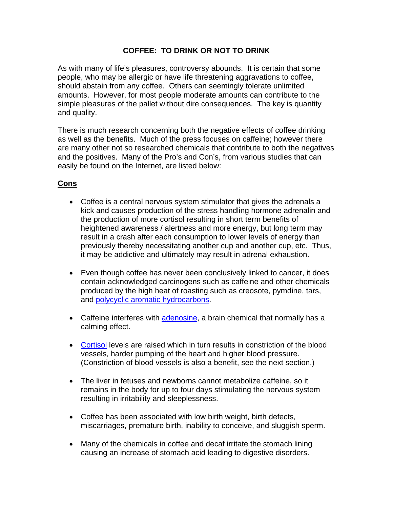## **COFFEE: TO DRINK OR NOT TO DRINK**

As with many of life's pleasures, controversy abounds. It is certain that some people, who may be allergic or have life threatening aggravations to coffee, should abstain from any coffee. Others can seemingly tolerate unlimited amounts. However, for most people moderate amounts can contribute to the simple pleasures of the pallet without dire consequences. The key is quantity and quality.

There is much research concerning both the negative effects of coffee drinking as well as the benefits. Much of the press focuses on caffeine; however there are many other not so researched chemicals that contribute to both the negatives and the positives. Many of the Pro's and Con's, from various studies that can easily be found on the Internet, are listed below:

## **Cons**

- Coffee is a central nervous system stimulator that gives the adrenals a kick and causes production of the stress handling hormone adrenalin and the production of more cortisol resulting in short term benefits of heightened awareness / alertness and more energy, but long term may result in a crash after each consumption to lower levels of energy than previously thereby necessitating another cup and another cup, etc. Thus, it may be addictive and ultimately may result in adrenal exhaustion.
- Even though coffee has never been conclusively linked to cancer, it does contain acknowledged carcinogens such as caffeine and other chemicals produced by the high heat of roasting such as creosote, pymdine, tars, and [polycyclic aromatic hydrocarbons](http://www.pnf.org/html/pollution___disease.html).
- Caffeine interferes with [adenosine](http://www.biopsychiatry.com/adenosine.html), a brain chemical that normally has a calming effect.
- [Cortisol](http://stress.about.com/cs/cortisol/a/aa012901.htm) levels are raised which in turn results in constriction of the blood vessels, harder pumping of the heart and higher blood pressure. (Constriction of blood vessels is also a benefit, see the next section.)
- The liver in fetuses and newborns cannot metabolize caffeine, so it remains in the body for up to four days stimulating the nervous system resulting in irritability and sleeplessness.
- Coffee has been associated with low birth weight, birth defects, miscarriages, premature birth, inability to conceive, and sluggish sperm.
- Many of the chemicals in coffee and decaf irritate the stomach lining causing an increase of stomach acid leading to digestive disorders.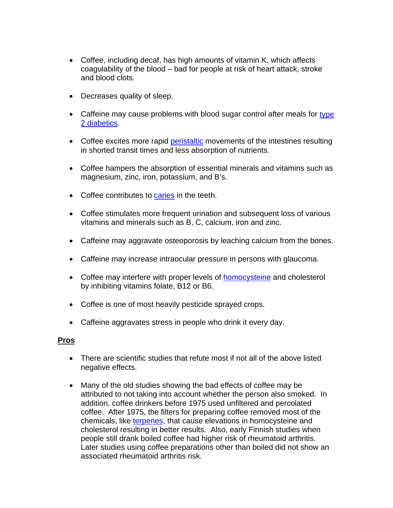- Coffee, including decaf, has high amounts of vitamin K, which affects coagulability of the blood – bad for people at risk of heart attack, stroke and blood clots.
- Decreases quality of sleep.
- Caffeine may cause problems with blood sugar control after meals for type [2 diabetics](http://www.diabetes.org/type-2-diabetes.jsp).
- Coffee excites more rapid [peristaltic](http://arbl.cvmbs.colostate.edu/hbooks/pathphys/digestion/basics/peristalsis.html) movements of the intestines resulting in shorted transit times and less absorption of nutrients.
- Coffee hampers the absorption of essential minerals and vitamins such as magnesium, zinc, iron, potassium, and B's.
- Coffee contributes to [caries](http://www.pediatriconcall.com/forpatients/CommonChild/DentalCaries.asp) in the teeth.
- Coffee stimulates more frequent urination and subsequent loss of various vitamins and minerals such as B, C, calcium, iron and zinc.
- Caffeine may aggravate osteoporosis by leaching calcium from the bones.
- Caffeine may increase intraocular pressure in persons with glaucoma.
- Coffee may interfere with proper levels of [homocysteine](http://www.lef.org/protocols/prtcl-122.shtml) and cholesterol by inhibiting vitamins folate, B12 or B6.
- Coffee is one of most heavily pesticide sprayed crops.
- Caffeine aggravates stress in people who drink it every day.

#### **Pros**

- There are scientific studies that refute most if not all of the above listed negative effects.
- Many of the old studies showing the bad effects of coffee may be attributed to not taking into account whether the person also smoked. In addition, coffee drinkers before 1975 used unfiltered and percolated coffee. After 1975, the filters for preparing coffee removed most of the chemicals, like [terpenes](http://www.people.vcu.edu/~asneden/terpenes.htm), that cause elevations in homocysteine and cholesterol resulting in better results. Also, early Finnish studies when people still drank boiled coffee had higher risk of rheumatoid arthritis. Later studies using coffee preparations other than boiled did not show an associated rheumatoid arthritis risk.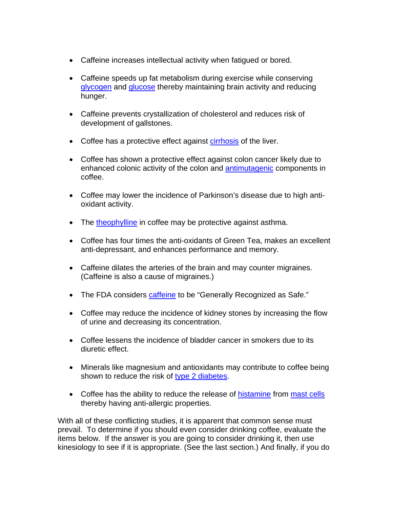- Caffeine increases intellectual activity when fatigued or bored.
- Caffeine speeds up fat metabolism during exercise while conserving [glycogen](http://www.med.unibs.it/~marchesi/glycogen.html) and [glucose](http://en.wikipedia.org/wiki/Glucose) thereby maintaining brain activity and reducing hunger.
- Caffeine prevents crystallization of cholesterol and reduces risk of development of gallstones.
- Coffee has a protective effect against [cirrhosis](http://cpmcnet.columbia.edu/dept/gi/cirrhosis.html) of the liver.
- Coffee has shown a protective effect against colon cancer likely due to enhanced colonic activity of the colon and [antimutagenic](http://ptcl.chem.ox.ac.uk/MSDS/glossary/mutagenic.html) components in coffee.
- Coffee may lower the incidence of Parkinson's disease due to high antioxidant activity.
- The [theophylline](http://www.nationaljewish.org/medfacts/theo.html) in coffee may be protective against asthma.
- Coffee has four times the anti-oxidants of Green Tea, makes an excellent anti-depressant, and enhances performance and memory.
- Caffeine dilates the arteries of the brain and may counter migraines. (Caffeine is also a cause of migraines.)
- The FDA considers [caffeine](http://spurious.biz/~pkremer/dev_zero/caffeine.html) to be "Generally Recognized as Safe."
- Coffee may reduce the incidence of kidney stones by increasing the flow of urine and decreasing its concentration.
- Coffee lessens the incidence of bladder cancer in smokers due to its diuretic effect.
- Minerals like magnesium and antioxidants may contribute to coffee being shown to reduce the risk of [type 2 diabetes](http://www.diabetes.org/type-2-diabetes.jsp).
- Coffee has the ability to reduce the release of [histamine](http://www.hon.ch/Library/Theme/Allergy/Glossary/histamine.html) from [mast cells](http://www.hon.ch/Library/Theme/Allergy/Glossary/mast_cell.html) thereby having anti-allergic properties.

With all of these conflicting studies, it is apparent that common sense must prevail. To determine if you should even consider drinking coffee, evaluate the items below. If the answer is you are going to consider drinking it, then use kinesiology to see if it is appropriate. (See the last section.) And finally, if you do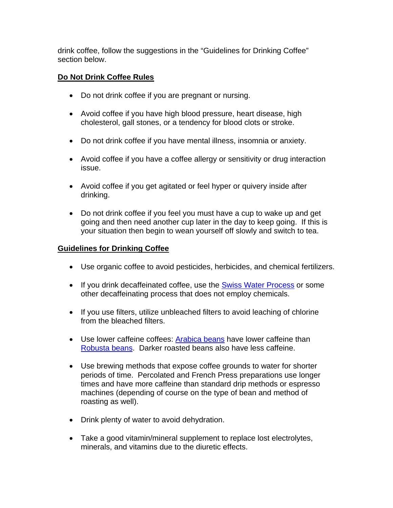drink coffee, follow the suggestions in the "Guidelines for Drinking Coffee" section below.

## **Do Not Drink Coffee Rules**

- Do not drink coffee if you are pregnant or nursing.
- Avoid coffee if you have high blood pressure, heart disease, high cholesterol, gall stones, or a tendency for blood clots or stroke.
- Do not drink coffee if you have mental illness, insomnia or anxiety.
- Avoid coffee if you have a coffee allergy or sensitivity or drug interaction issue.
- Avoid coffee if you get agitated or feel hyper or quivery inside after drinking.
- Do not drink coffee if you feel you must have a cup to wake up and get going and then need another cup later in the day to keep going. If this is your situation then begin to wean yourself off slowly and switch to tea.

## **Guidelines for Drinking Coffee**

- Use organic coffee to avoid pesticides, herbicides, and chemical fertilizers.
- If you drink decaffeinated coffee, use the [Swiss Water Process](http://www.swisswater.com/) or some other decaffeinating process that does not employ chemicals.
- If you use filters, utilize unbleached filters to avoid leaching of chlorine from the bleached filters.
- Use lower caffeine coffees: [Arabica beans](http://www.2basnob.com/coffee-beans.html) have lower caffeine than [Robusta beans.](http://www.2basnob.com/coffee-beans.html) Darker roasted beans also have less caffeine.
- Use brewing methods that expose coffee grounds to water for shorter periods of time. Percolated and French Press preparations use longer times and have more caffeine than standard drip methods or espresso machines (depending of course on the type of bean and method of roasting as well).
- Drink plenty of water to avoid dehydration.
- Take a good vitamin/mineral supplement to replace lost electrolytes, minerals, and vitamins due to the diuretic effects.